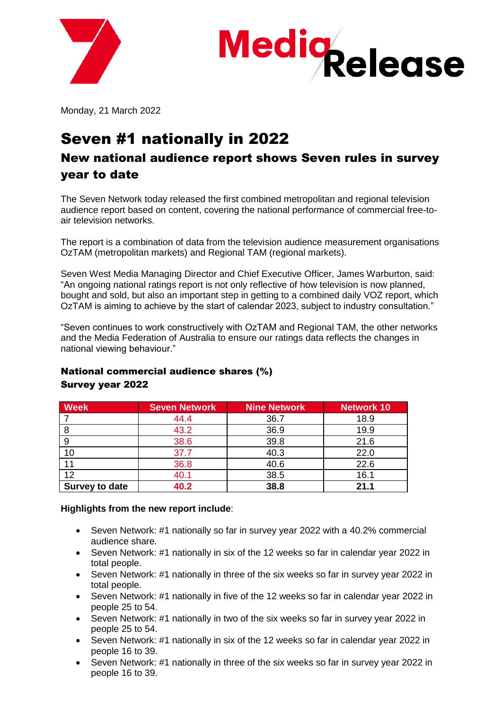



Monday, 21 March 2022

### Seven #1 nationally in 2022

#### New national audience report shows Seven rules in survey year to date

The Seven Network today released the first combined metropolitan and regional television audience report based on content, covering the national performance of commercial free-toair television networks.

The report is a combination of data from the television audience measurement organisations OzTAM (metropolitan markets) and Regional TAM (regional markets).

Seven West Media Managing Director and Chief Executive Officer, James Warburton, said: "An ongoing national ratings report is not only reflective of how television is now planned, bought and sold, but also an important step in getting to a combined daily VOZ report, which OzTAM is aiming to achieve by the start of calendar 2023, subject to industry consultation."

"Seven continues to work constructively with OzTAM and Regional TAM, the other networks and the Media Federation of Australia to ensure our ratings data reflects the changes in national viewing behaviour."

| <b>Week</b>           | <b>Seven Network</b> | <b>Nine Network</b> | <b>Network 10</b> |
|-----------------------|----------------------|---------------------|-------------------|
|                       | 44.4                 | 36.7                | 18.9              |
| 8                     | 43.2                 | 36.9                | 19.9              |
| 9                     | 38.6                 | 39.8                | 21.6              |
| 10                    | 37.7                 | 40.3                | 22.0              |
|                       | 36.8                 | 40.6                | 22.6              |
| 12                    | 40.1                 | 38.5                | 16.1              |
| <b>Survey to date</b> | 40.2                 | 38.8                | 21.1              |

#### National commercial audience shares (%) Survey year 2022

#### **Highlights from the new report include**:

- Seven Network: #1 nationally so far in survey year 2022 with a 40.2% commercial audience share.
- Seven Network: #1 nationally in six of the 12 weeks so far in calendar year 2022 in total people.
- Seven Network: #1 nationally in three of the six weeks so far in survey year 2022 in total people.
- Seven Network: #1 nationally in five of the 12 weeks so far in calendar year 2022 in people 25 to 54.
- Seven Network: #1 nationally in two of the six weeks so far in survey year 2022 in people 25 to 54.
- Seven Network: #1 nationally in six of the 12 weeks so far in calendar year 2022 in people 16 to 39.
- Seven Network: #1 nationally in three of the six weeks so far in survey year 2022 in people 16 to 39.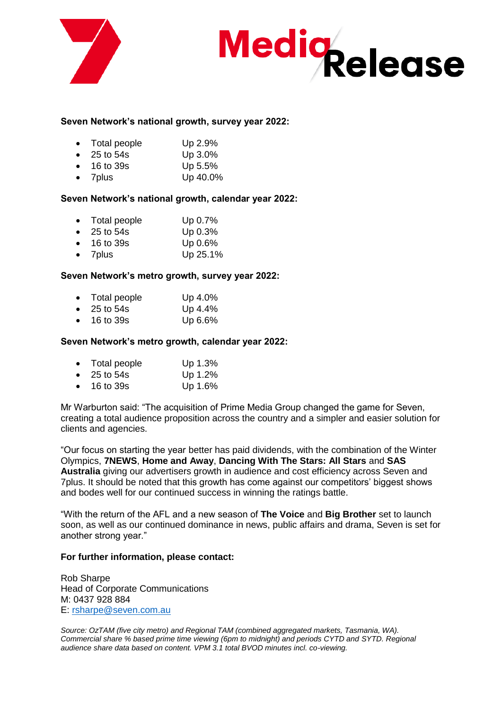

# **Medig**<br>Release

#### **Seven Network's national growth, survey year 2022:**

- Total people Up 2.9%
- 25 to 54s Up 3.0%
- 16 to 39s Up 5.5%
- 7plus Up 40.0%

#### **Seven Network's national growth, calendar year 2022:**

- Total people Up 0.7%
- 25 to 54s Up 0.3%
- 16 to 39s Up 0.6%
- 7plus Up 25.1%

#### **Seven Network's metro growth, survey year 2022:**

- Total people Up 4.0%
- 25 to 54s Up 4.4%
- 16 to 39s Up 6.6%

#### **Seven Network's metro growth, calendar year 2022:**

| $\bullet$ | Total people | Up 1.3% |
|-----------|--------------|---------|
| $\bullet$ | 25 to 54s    | Up 1.2% |

• 16 to 39s Up 1.6%

Mr Warburton said: "The acquisition of Prime Media Group changed the game for Seven, creating a total audience proposition across the country and a simpler and easier solution for clients and agencies.

"Our focus on starting the year better has paid dividends, with the combination of the Winter Olympics, **7NEWS**, **Home and Away**, **Dancing With The Stars: All Stars** and **SAS Australia** giving our advertisers growth in audience and cost efficiency across Seven and 7plus. It should be noted that this growth has come against our competitors' biggest shows and bodes well for our continued success in winning the ratings battle.

"With the return of the AFL and a new season of **The Voice** and **Big Brother** set to launch soon, as well as our continued dominance in news, public affairs and drama, Seven is set for another strong year."

#### **For further information, please contact:**

Rob Sharpe Head of Corporate Communications M: 0437 928 884 E: [rsharpe@seven.com.au](mailto:rsharpe@seven.com.au)

*Source: OzTAM (five city metro) and Regional TAM (combined aggregated markets, Tasmania, WA). Commercial share % based prime time viewing (6pm to midnight) and periods CYTD and SYTD. Regional audience share data based on content. VPM 3.1 total BVOD minutes incl. co-viewing.*